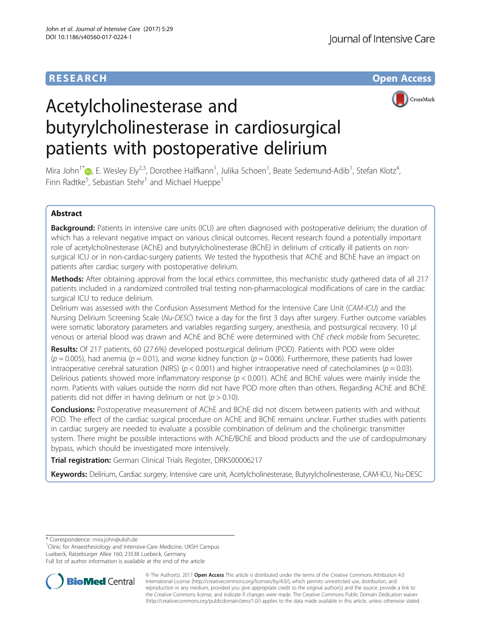## **RESEARCH CHE Open Access**



# Acetylcholinesterase and butyrylcholinesterase in cardiosurgical patients with postoperative delirium

Mira John<sup>1\*</sup>�[,](http://orcid.org/0000-0002-1060-6415) E. Wesley Ely<sup>2,3</sup>, Dorothee Halfkann<sup>1</sup>, Julika Schoen<sup>1</sup>, Beate Sedemund-Adib<sup>1</sup>, Stefan Klotz<sup>4</sup> , Finn Radtke<sup>5</sup>, Sebastian Stehr<sup>1</sup> and Michael Hueppe<sup>1</sup>

## Abstract

Background: Patients in intensive care units (ICU) are often diagnosed with postoperative delirium; the duration of which has a relevant negative impact on various clinical outcomes. Recent research found a potentially important role of acetylcholinesterase (AChE) and butyrylcholinesterase (BChE) in delirium of critically ill patients on nonsurgical ICU or in non-cardiac-surgery patients. We tested the hypothesis that AChE and BChE have an impact on patients after cardiac surgery with postoperative delirium.

Methods: After obtaining approval from the local ethics committee, this mechanistic study gathered data of all 217 patients included in a randomized controlled trial testing non-pharmacological modifications of care in the cardiac surgical ICU to reduce delirium.

Delirium was assessed with the Confusion Assessment Method for the Intensive Care Unit (CAM-ICU) and the Nursing Delirium Screening Scale (Nu-DESC) twice a day for the first 3 days after surgery. Further outcome variables were somatic laboratory parameters and variables regarding surgery, anesthesia, and postsurgical recovery. 10 μl venous or arterial blood was drawn and AChE and BChE were determined with ChE check mobile from Securetec.

Results: Of 217 patients, 60 (27.6%) developed postsurgical delirium (POD). Patients with POD were older  $(p = 0.005)$ , had anemia ( $p = 0.01$ ), and worse kidney function ( $p = 0.006$ ). Furthermore, these patients had lower intraoperative cerebral saturation (NIRS) ( $p < 0.001$ ) and higher intraoperative need of catecholamines ( $p = 0.03$ ). Delirious patients showed more inflammatory response  $(p < 0.001)$ . AChE and BChE values were mainly inside the norm. Patients with values outside the norm did not have POD more often than others. Regarding AChE and BChE patients did not differ in having delirium or not ( $p > 0.10$ ).

**Conclusions:** Postoperative measurement of AChE and BChE did not discern between patients with and without POD. The effect of the cardiac surgical procedure on AChE and BChE remains unclear. Further studies with patients in cardiac surgery are needed to evaluate a possible combination of delirium and the cholinergic transmitter system. There might be possible interactions with AChE/BChE and blood products and the use of cardiopulmonary bypass, which should be investigated more intensively.

Trial registration: German Clinical Trials Register, [DRKS00006217](http://drks-neu.uniklinik-freiburg.de/drks_web/setLocale_EN.do)

Keywords: Delirium, Cardiac surgery, Intensive care unit, Acetylcholinesterase, Butyrylcholinesterase, CAM-ICU, Nu-DESC

\* Correspondence: [mira.john@uksh.de](mailto:mira.john@uksh.de) <sup>1</sup>

<sup>1</sup> Clinic for Anaesthesiology and Intensive-Care Medicine, UKSH Campus Luebeck, Ratzeburger Allee 160, 23538 Luebeck, Germany

Full list of author information is available at the end of the article



© The Author(s). 2017 **Open Access** This article is distributed under the terms of the Creative Commons Attribution 4.0 International License [\(http://creativecommons.org/licenses/by/4.0/](http://creativecommons.org/licenses/by/4.0/)), which permits unrestricted use, distribution, and reproduction in any medium, provided you give appropriate credit to the original author(s) and the source, provide a link to the Creative Commons license, and indicate if changes were made. The Creative Commons Public Domain Dedication waiver [\(http://creativecommons.org/publicdomain/zero/1.0/](http://creativecommons.org/publicdomain/zero/1.0/)) applies to the data made available in this article, unless otherwise stated.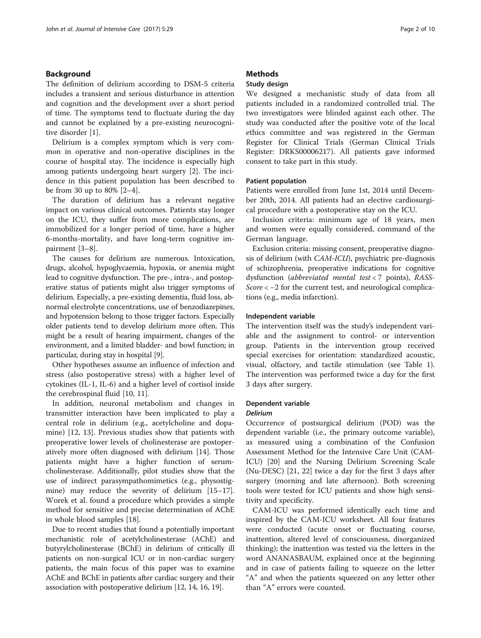## Background

The definition of delirium according to DSM-5 criteria includes a transient and serious disturbance in attention and cognition and the development over a short period of time. The symptoms tend to fluctuate during the day and cannot be explained by a pre-existing neurocognitive disorder [[1\]](#page-8-0).

Delirium is a complex symptom which is very common in operative and non-operative disciplines in the course of hospital stay. The incidence is especially high among patients undergoing heart surgery [[2\]](#page-8-0). The incidence in this patient population has been described to be from 30 up to 80% [\[2](#page-8-0)–[4\]](#page-8-0).

The duration of delirium has a relevant negative impact on various clinical outcomes. Patients stay longer on the ICU, they suffer from more complications, are immobilized for a longer period of time, have a higher 6-months-mortality, and have long-term cognitive impairment [[3](#page-8-0)–[8\]](#page-8-0).

The causes for delirium are numerous. Intoxication, drugs, alcohol, hypoglycaemia, hypoxia, or anemia might lead to cognitive dysfunction. The pre-, intra-, and postoperative status of patients might also trigger symptoms of delirium. Especially, a pre-existing dementia, fluid loss, abnormal electrolyte concentrations, use of benzodiazepines, and hypotension belong to those trigger factors. Especially older patients tend to develop delirium more often. This might be a result of hearing impairment, changes of the environment, and a limited bladder- and bowl function; in particular, during stay in hospital [[9\]](#page-8-0).

Other hypotheses assume an influence of infection and stress (also postoperative stress) with a higher level of cytokines (IL-1, IL-6) and a higher level of cortisol inside the cerebrospinal fluid [[10, 11\]](#page-8-0).

In addition, neuronal metabolism and changes in transmitter interaction have been implicated to play a central role in delirium (e.g., acetylcholine and dopamine) [\[12](#page-8-0), [13\]](#page-8-0). Previous studies show that patients with preoperative lower levels of cholinesterase are postoperatively more often diagnosed with delirium [\[14\]](#page-8-0). Those patients might have a higher function of serumcholinesterase. Additionally, pilot studies show that the use of indirect parasympathomimetics (e.g., physostigmine) may reduce the severity of delirium [[15](#page-8-0)–[17](#page-8-0)]. Worek et al. found a procedure which provides a simple method for sensitive and precise determination of AChE in whole blood samples [\[18](#page-9-0)].

Due to recent studies that found a potentially important mechanistic role of acetylcholinesterase (AChE) and butyrylcholinesterase (BChE) in delirium of critically ill patients on non-surgical ICU or in non-cardiac surgery patients, the main focus of this paper was to examine AChE and BChE in patients after cardiac surgery and their association with postoperative delirium [[12, 14, 16](#page-8-0), [19\]](#page-9-0).

## **Methods**

## Study design

We designed a mechanistic study of data from all patients included in a randomized controlled trial. The two investigators were blinded against each other. The study was conducted after the positive vote of the local ethics committee and was registered in the German Register for Clinical Trials (German Clinical Trials Register: DRKS00006217). All patients gave informed consent to take part in this study.

## Patient population

Patients were enrolled from June 1st, 2014 until December 20th, 2014. All patients had an elective cardiosurgical procedure with a postoperative stay on the ICU.

Inclusion criteria: minimum age of 18 years, men and women were equally considered, command of the German language.

Exclusion criteria: missing consent, preoperative diagnosis of delirium (with CAM-ICU), psychiatric pre-diagnosis of schizophrenia, preoperative indications for cognitive dysfunction (abbreviated mental test < 7 points), RASS-Score < −2 for the current test, and neurological complications (e.g., media infarction).

#### Independent variable

The intervention itself was the study's independent variable and the assignment to control- or intervention group. Patients in the intervention group received special exercises for orientation: standardized acoustic, visual, olfactory, and tactile stimulation (see Table [1](#page-2-0)). The intervention was performed twice a day for the first 3 days after surgery.

## Dependent variable

### Delirium

Occurrence of postsurgical delirium (POD) was the dependent variable (i.e., the primary outcome variable), as measured using a combination of the Confusion Assessment Method for the Intensive Care Unit (CAM-ICU) [\[20\]](#page-9-0) and the Nursing Delirium Screening Scale (Nu-DESC) [\[21](#page-9-0), [22\]](#page-9-0) twice a day for the first 3 days after surgery (morning and late afternoon). Both screening tools were tested for ICU patients and show high sensitivity and specificity.

CAM-ICU was performed identically each time and inspired by the CAM-ICU worksheet. All four features were conducted (acute onset or fluctuating course, inattention, altered level of consciousness, disorganized thinking); the inattention was tested via the letters in the word ANANASBAUM, explained once at the beginning and in case of patients failing to squeeze on the letter "A" and when the patients squeezed on any letter other than "A" errors were counted.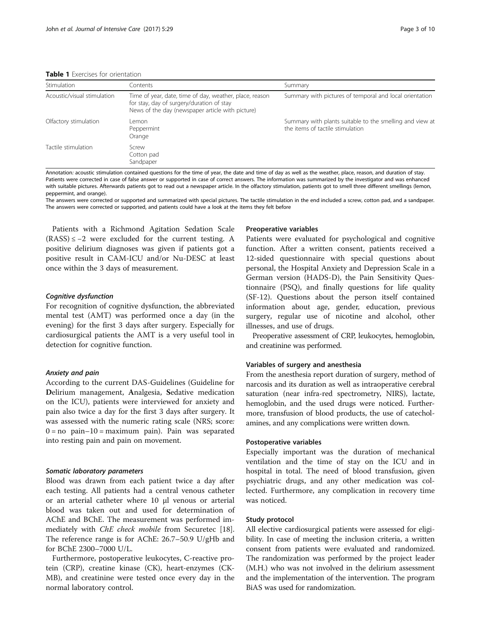<span id="page-2-0"></span>Table 1 Exercises for orientation

| Stimulation                 | Contents                                                                                                                                                 | Summary                                                                                      |  |  |  |
|-----------------------------|----------------------------------------------------------------------------------------------------------------------------------------------------------|----------------------------------------------------------------------------------------------|--|--|--|
| Acoustic/visual stimulation | Time of year, date, time of day, weather, place, reason<br>for stay, day of surgery/duration of stay<br>News of the day (newspaper article with picture) | Summary with pictures of temporal and local orientation                                      |  |  |  |
| Olfactory stimulation       | l emon<br>Peppermint<br>Orange                                                                                                                           | Summary with plants suitable to the smelling and view at<br>the items of tactile stimulation |  |  |  |
| Tactile stimulation         | Screw<br>Cotton pad<br>Sandpaper                                                                                                                         |                                                                                              |  |  |  |

Annotation: acoustic stimulation contained questions for the time of year, the date and time of day as well as the weather, place, reason, and duration of stay. Patients were corrected in case of false answer or supported in case of correct answers. The information was summarized by the investigator and was enhanced with suitable pictures. Afterwards patients got to read out a newspaper article. In the olfactory stimulation, patients got to smell three different smellings (lemon, peppermint, and orange).

The answers were corrected or supported and summarized with special pictures. The tactile stimulation in the end included a screw, cotton pad, and a sandpaper. The answers were corrected or supported, and patients could have a look at the items they felt before

Patients with a Richmond Agitation Sedation Scale  $(RASS) \le -2$  were excluded for the current testing. A positive delirium diagnoses was given if patients got a positive result in CAM-ICU and/or Nu-DESC at least once within the 3 days of measurement.

#### Cognitive dysfunction

For recognition of cognitive dysfunction, the abbreviated mental test (AMT) was performed once a day (in the evening) for the first 3 days after surgery. Especially for cardiosurgical patients the AMT is a very useful tool in detection for cognitive function.

#### Anxiety and pain

According to the current DAS-Guidelines (Guideline for Delirium management, Analgesia, Sedative medication on the ICU), patients were interviewed for anxiety and pain also twice a day for the first 3 days after surgery. It was assessed with the numeric rating scale (NRS; score:  $0 = no$  pain–10 = maximum pain). Pain was separated into resting pain and pain on movement.

#### Somatic laboratory parameters

Blood was drawn from each patient twice a day after each testing. All patients had a central venous catheter or an arterial catheter where 10 μl venous or arterial blood was taken out and used for determination of AChE and BChE. The measurement was performed immediately with *ChE check mobile* from Securetec [\[18](#page-9-0)]. The reference range is for AChE: 26.7–50.9 U/gHb and for BChE 2300–7000 U/L.

Furthermore, postoperative leukocytes, C-reactive protein (CRP), creatine kinase (CK), heart-enzymes (CK-MB), and creatinine were tested once every day in the normal laboratory control.

#### Preoperative variables

Patients were evaluated for psychological and cognitive function. After a written consent, patients received a 12-sided questionnaire with special questions about personal, the Hospital Anxiety and Depression Scale in a German version (HADS-D), the Pain Sensitivity Questionnaire (PSQ), and finally questions for life quality (SF-12). Questions about the person itself contained information about age, gender, education, previous surgery, regular use of nicotine and alcohol, other illnesses, and use of drugs.

Preoperative assessment of CRP, leukocytes, hemoglobin, and creatinine was performed.

#### Variables of surgery and anesthesia

From the anesthesia report duration of surgery, method of narcosis and its duration as well as intraoperative cerebral saturation (near infra-red spectrometry, NIRS), lactate, hemoglobin, and the used drugs were noticed. Furthermore, transfusion of blood products, the use of catecholamines, and any complications were written down.

### Postoperative variables

Especially important was the duration of mechanical ventilation and the time of stay on the ICU and in hospital in total. The need of blood transfusion, given psychiatric drugs, and any other medication was collected. Furthermore, any complication in recovery time was noticed.

#### Study protocol

All elective cardiosurgical patients were assessed for eligibility. In case of meeting the inclusion criteria, a written consent from patients were evaluated and randomized. The randomization was performed by the project leader (M.H.) who was not involved in the delirium assessment and the implementation of the intervention. The program BiAS was used for randomization.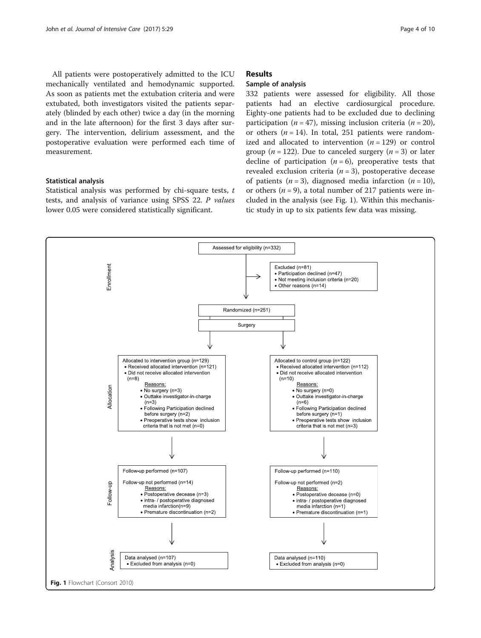All patients were postoperatively admitted to the ICU mechanically ventilated and hemodynamic supported. As soon as patients met the extubation criteria and were extubated, both investigators visited the patients separately (blinded by each other) twice a day (in the morning and in the late afternoon) for the first 3 days after surgery. The intervention, delirium assessment, and the postoperative evaluation were performed each time of measurement.

## Statistical analysis

Statistical analysis was performed by chi-square tests, t tests, and analysis of variance using SPSS 22. P values lower 0.05 were considered statistically significant.

## Results

## Sample of analysis

332 patients were assessed for eligibility. All those patients had an elective cardiosurgical procedure. Eighty-one patients had to be excluded due to declining participation ( $n = 47$ ), missing inclusion criteria ( $n = 20$ ), or others ( $n = 14$ ). In total, 251 patients were randomized and allocated to intervention  $(n = 129)$  or control group ( $n = 122$ ). Due to canceled surgery ( $n = 3$ ) or later decline of participation  $(n = 6)$ , preoperative tests that revealed exclusion criteria ( $n = 3$ ), postoperative decease of patients  $(n = 3)$ , diagnosed media infarction  $(n = 10)$ , or others ( $n = 9$ ), a total number of 217 patients were included in the analysis (see Fig. 1). Within this mechanistic study in up to six patients few data was missing.

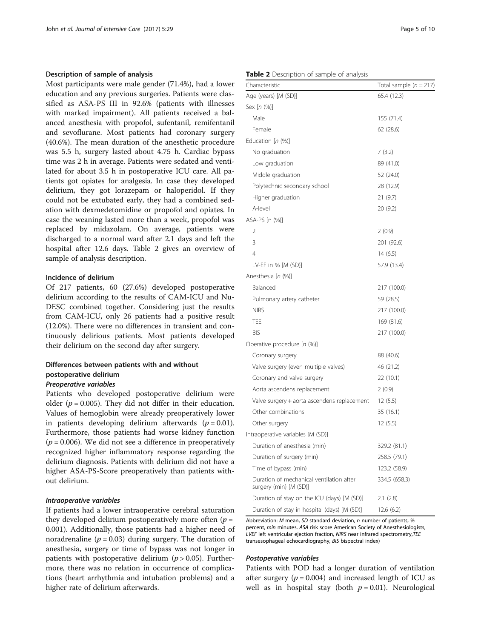#### Description of sample of analysis

Most participants were male gender (71.4%), had a lower education and any previous surgeries. Patients were classified as ASA-PS III in 92.6% (patients with illnesses with marked impairment). All patients received a balanced anesthesia with propofol, sufentanil, remifentanil and sevoflurane. Most patients had coronary surgery (40.6%). The mean duration of the anesthetic procedure was 5.5 h, surgery lasted about 4.75 h. Cardiac bypass time was 2 h in average. Patients were sedated and ventilated for about 3.5 h in postoperative ICU care. All patients got opiates for analgesia. In case they developed delirium, they got lorazepam or haloperidol. If they could not be extubated early, they had a combined sedation with dexmedetomidine or propofol and opiates. In case the weaning lasted more than a week, propofol was replaced by midazolam. On average, patients were discharged to a normal ward after 2.1 days and left the hospital after 12.6 days. Table 2 gives an overview of sample of analysis description.

## Incidence of delirium

Of 217 patients, 60 (27.6%) developed postoperative delirium according to the results of CAM-ICU and Nu-DESC combined together. Considering just the results from CAM-ICU, only 26 patients had a positive result (12.0%). There were no differences in transient and continuously delirious patients. Most patients developed their delirium on the second day after surgery.

## Differences between patients with and without postoperative delirium

## Preoperative variables

Patients who developed postoperative delirium were older ( $p = 0.005$ ). They did not differ in their education. Values of hemoglobin were already preoperatively lower in patients developing delirium afterwards  $(p = 0.01)$ . Furthermore, those patients had worse kidney function  $(p = 0.006)$ . We did not see a difference in preoperatively recognized higher inflammatory response regarding the delirium diagnosis. Patients with delirium did not have a higher ASA-PS-Score preoperatively than patients without delirium.

## Intraoperative variables

If patients had a lower intraoperative cerebral saturation they developed delirium postoperatively more often  $(p =$ 0.001). Additionally, those patients had a higher need of noradrenaline ( $p = 0.03$ ) during surgery. The duration of anesthesia, surgery or time of bypass was not longer in patients with postoperative delirium ( $p > 0.05$ ). Furthermore, there was no relation in occurrence of complications (heart arrhythmia and intubation problems) and a higher rate of delirium afterwards.

| <b>ible 2</b> Description of sample of analysis                                                                     |                          |  |  |  |  |  |  |  |
|---------------------------------------------------------------------------------------------------------------------|--------------------------|--|--|--|--|--|--|--|
| aracteristic                                                                                                        | Total sample $(n = 217)$ |  |  |  |  |  |  |  |
| je (years) [M (SD)]                                                                                                 | 65.4 (12.3)              |  |  |  |  |  |  |  |
| x [n (%)]                                                                                                           |                          |  |  |  |  |  |  |  |
| Male                                                                                                                | 155 (71.4)               |  |  |  |  |  |  |  |
| Female                                                                                                              | 62(28.6)                 |  |  |  |  |  |  |  |
| ucation $[n (%)]$                                                                                                   |                          |  |  |  |  |  |  |  |
| No graduation                                                                                                       | 7(3.2)                   |  |  |  |  |  |  |  |
| Low graduation                                                                                                      | 89 (41.0)                |  |  |  |  |  |  |  |
| $\mathbf{A}$ and $\mathbf{B}$ and $\mathbf{B}$ are a set of $\mathbf{A}$ and $\mathbf{A}$ are a set of $\mathbf{A}$ | $F \cap (A \cap A)$      |  |  |  |  |  |  |  |

| Middle graduation                                                  | 52 (24.0)     |
|--------------------------------------------------------------------|---------------|
| Polytechnic secondary school                                       | 28 (12.9)     |
| Higher graduation                                                  | 21(9.7)       |
| A-level                                                            | 20 (9.2)      |
| ASA-PS [n (%)]                                                     |               |
| 2                                                                  | 2(0.9)        |
| 3                                                                  | 201 (92.6)    |
| 4                                                                  | 14(6.5)       |
| LV-EF in % [M (SD)]                                                | 57.9 (13.4)   |
| Anesthesia [n (%)]                                                 |               |
| Balanced                                                           | 217 (100.0)   |
| Pulmonary artery catheter                                          | 59 (28.5)     |
| <b>NIRS</b>                                                        | 217 (100.0)   |
| TEE                                                                | 169 (81.6)    |
| <b>BIS</b>                                                         | 217 (100.0)   |
| Operative procedure [n (%)]                                        |               |
| Coronary surgery                                                   | 88 (40.6)     |
| Valve surgery (even multiple valves)                               | 46 (21.2)     |
| Coronary and valve surgery                                         | 22 (10.1)     |
| Aorta ascendens replacement                                        | 2(0.9)        |
| Valve surgery + aorta ascendens replacement                        | 12(5.5)       |
| Other combinations                                                 | 35 (16.1)     |
| Other surgery                                                      | 12(5.5)       |
| Intraoperative variables [M (SD)]                                  |               |
| Duration of anesthesia (min)                                       | 329.2 (81.1)  |
| Duration of surgery (min)                                          | 258.5 (79.1)  |
| Time of bypass (min)                                               | 123.2 (58.9)  |
| Duration of mechanical ventilation after<br>surgery (min) [M (SD)] | 334.5 (658.3) |
| Duration of stay on the ICU (days) [M (SD)]                        | 2.1(2.8)      |
| Duration of stay in hospital (days) [M (SD)]                       | 12.6 (6.2)    |

Abbreviation: M mean, SD standard deviation, n number of patients, % percent, min minutes. ASA risk score American Society of Anesthesiologists, LVEF left ventricular ejection fraction, NIRS near infrared spectrometry, TEE transesophageal echocardiography, BIS bispectral index)

#### Postoperative variables

Patients with POD had a longer duration of ventilation after surgery ( $p = 0.004$ ) and increased length of ICU as well as in hospital stay (both  $p = 0.01$ ). Neurological

#### Table 2 Description of sampl

Characteristic Age (years) [M (SD)]

Sex [n (%)]

Education [n (%)] No graduation Low graduation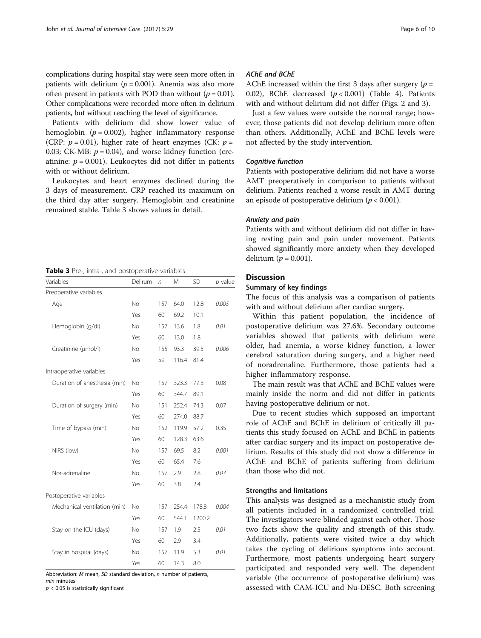complications during hospital stay were seen more often in patients with delirium ( $p = 0.001$ ). Anemia was also more often present in patients with POD than without ( $p = 0.01$ ). Other complications were recorded more often in delirium patients, but without reaching the level of significance.

Patients with delirium did show lower value of hemoglobin ( $p = 0.002$ ), higher inflammatory response (CRP:  $p = 0.01$ ), higher rate of heart enzymes (CK:  $p =$ 0.03; CK-MB:  $p = 0.04$ ), and worse kidney function (creatinine:  $p = 0.001$ ). Leukocytes did not differ in patients with or without delirium.

Leukocytes and heart enzymes declined during the 3 days of measurement. CRP reached its maximum on the third day after surgery. Hemoglobin and creatinine remained stable. Table 3 shows values in detail.

Table 3 Pre-, intra-, and postoperative variables

| Variables                    | Delirum   | n   | M     | <b>SD</b> | $p$ value |
|------------------------------|-----------|-----|-------|-----------|-----------|
| Preoperative variables       |           |     |       |           |           |
| Age                          | <b>No</b> | 157 | 64.0  | 12.8      | 0.005     |
|                              | Yes       | 60  | 69.2  | 10.1      |           |
| Hemoglobin (g/dl)            | <b>No</b> | 157 | 13.6  | 1.8       | 0.01      |
|                              | Yes       | 60  | 13.0  | 1.8       |           |
| Creatinine (µmol/l)          | No.       | 155 | 93.3  | 39.5      | 0.006     |
|                              | Yes       | 59  | 116.4 | 81.4      |           |
| Intraoperative variables     |           |     |       |           |           |
| Duration of anesthesia (min) | <b>No</b> | 157 | 323.3 | 77.3      | 0.08      |
|                              | Yes       | 60  | 344.7 | 89.1      |           |
| Duration of surgery (min)    | <b>No</b> | 151 | 252.4 | 74.3      | 0.07      |
|                              | Yes       | 60  | 274.0 | 88.7      |           |
| Time of bypass (min)         | <b>No</b> | 152 | 119.9 | 57.2      | 0.35      |
|                              | Yes       | 60  | 128.3 | 63.6      |           |
| NIRS (low)                   | <b>No</b> | 157 | 69.5  | 8.2       | 0.001     |
|                              | Yes       | 60  | 65.4  | 7.6       |           |
| Nor-adrenaline               | <b>No</b> | 157 | 2.9   | 2.8       | 0.03      |
|                              | Yes       | 60  | 3.8   | 2.4       |           |
| Postoperative variables      |           |     |       |           |           |
| Mechanical ventilation (min) | <b>No</b> | 157 | 254.4 | 178.8     | 0.004     |
|                              | Yes       | 60  | 544.1 | 1200.2    |           |
| Stay on the ICU (days)       | <b>No</b> | 157 | 1.9   | 2.5       | 0.01      |
|                              | Yes       | 60  | 2.9   | 3.4       |           |
| Stay in hospital (days)      | <b>No</b> | 157 | 11.9  | 5.3       | 0.01      |
|                              | Yes       | 60  | 14.3  | 8.0       |           |

Abbreviation: M mean, SD standard deviation, n number of patients, min minutes

 $p < 0.05$  is statistically significant

## AChE and BChE

AChE increased within the first 3 days after surgery ( $p =$ 0.02), BChE decreased  $(p < 0.001)$  (Table [4](#page-6-0)). Patients with and without delirium did not differ (Figs. [2](#page-6-0) and [3\)](#page-7-0).

Just a few values were outside the normal range; however, those patients did not develop delirium more often than others. Additionally, AChE and BChE levels were not affected by the study intervention.

## Cognitive function

Patients with postoperative delirium did not have a worse AMT preoperatively in comparison to patients without delirium. Patients reached a worse result in AMT during an episode of postoperative delirium ( $p < 0.001$ ).

#### Anxiety and pain

Patients with and without delirium did not differ in having resting pain and pain under movement. Patients showed significantly more anxiety when they developed delirium ( $p = 0.001$ ).

## Discussion

## Summary of key findings

The focus of this analysis was a comparison of patients with and without delirium after cardiac surgery.

Within this patient population, the incidence of postoperative delirium was 27.6%. Secondary outcome variables showed that patients with delirium were older, had anemia, a worse kidney function, a lower cerebral saturation during surgery, and a higher need of noradrenaline. Furthermore, those patients had a higher inflammatory response.

The main result was that AChE and BChE values were mainly inside the norm and did not differ in patients having postoperative delirium or not.

Due to recent studies which supposed an important role of AChE and BChE in delirium of critically ill patients this study focused on AChE and BChE in patients after cardiac surgery and its impact on postoperative delirium. Results of this study did not show a difference in AChE and BChE of patients suffering from delirium than those who did not.

#### Strengths and limitations

This analysis was designed as a mechanistic study from all patients included in a randomized controlled trial. The investigators were blinded against each other. Those two facts show the quality and strength of this study. Additionally, patients were visited twice a day which takes the cycling of delirious symptoms into account. Furthermore, most patients undergoing heart surgery participated and responded very well. The dependent variable (the occurrence of postoperative delirium) was assessed with CAM-ICU and Nu-DESC. Both screening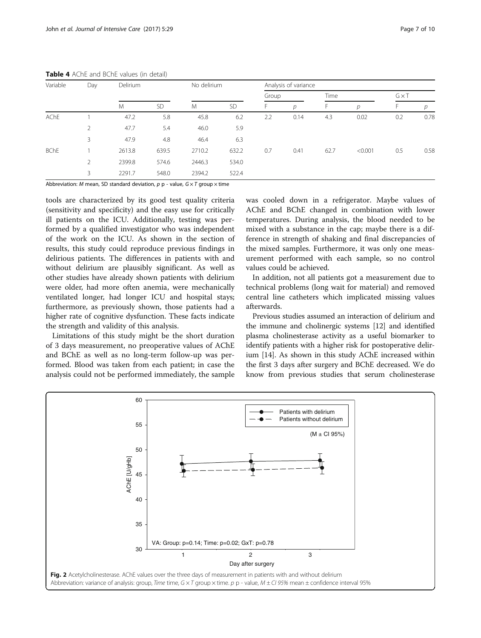| Variable    | Day            | Delirium |           | No delirium |           | Analysis of variance |      |      |         |              |      |
|-------------|----------------|----------|-----------|-------------|-----------|----------------------|------|------|---------|--------------|------|
|             |                |          |           |             |           | Group                |      | Time |         | $G \times T$ |      |
|             |                | M        | <b>SD</b> | M           | <b>SD</b> | F.                   | р    | F.   | D       | F            | D    |
| AChE        |                | 47.2     | 5.8       | 45.8        | 6.2       | 2.2                  | 0.14 | 4.3  | 0.02    | 0.2          | 0.78 |
|             | $\overline{2}$ | 47.7     | 5.4       | 46.0        | 5.9       |                      |      |      |         |              |      |
|             | 3              | 47.9     | 4.8       | 46.4        | 6.3       |                      |      |      |         |              |      |
| <b>BChE</b> |                | 2613.8   | 639.5     | 2710.2      | 632.2     | 0.7                  | 0.41 | 62.7 | < 0.001 | 0.5          | 0.58 |
|             | $\overline{2}$ | 2399.8   | 574.6     | 2446.3      | 534.0     |                      |      |      |         |              |      |
|             | 3              | 2291.7   | 548.0     | 2394.2      | 522.4     |                      |      |      |         |              |      |

<span id="page-6-0"></span>Table 4 AChE and BChE values (in detail)

Abbreviation: M mean, SD standard deviation,  $p$  p - value,  $G \times T$  group  $\times$  time

tools are characterized by its good test quality criteria (sensitivity and specificity) and the easy use for critically ill patients on the ICU. Additionally, testing was performed by a qualified investigator who was independent of the work on the ICU. As shown in the section of results, this study could reproduce previous findings in delirious patients. The differences in patients with and without delirium are plausibly significant. As well as other studies have already shown patients with delirium were older, had more often anemia, were mechanically ventilated longer, had longer ICU and hospital stays; furthermore, as previously shown, those patients had a higher rate of cognitive dysfunction. These facts indicate the strength and validity of this analysis.

Limitations of this study might be the short duration of 3 days measurement, no preoperative values of AChE and BChE as well as no long-term follow-up was performed. Blood was taken from each patient; in case the analysis could not be performed immediately, the sample was cooled down in a refrigerator. Maybe values of AChE and BChE changed in combination with lower temperatures. During analysis, the blood needed to be mixed with a substance in the cap; maybe there is a difference in strength of shaking and final discrepancies of the mixed samples. Furthermore, it was only one measurement performed with each sample, so no control values could be achieved.

In addition, not all patients got a measurement due to technical problems (long wait for material) and removed central line catheters which implicated missing values afterwards.

Previous studies assumed an interaction of delirium and the immune and cholinergic systems [\[12\]](#page-8-0) and identified plasma cholinesterase activity as a useful biomarker to identify patients with a higher risk for postoperative delirium [\[14\]](#page-8-0). As shown in this study AChE increased within the first 3 days after surgery and BChE decreased. We do know from previous studies that serum cholinesterase

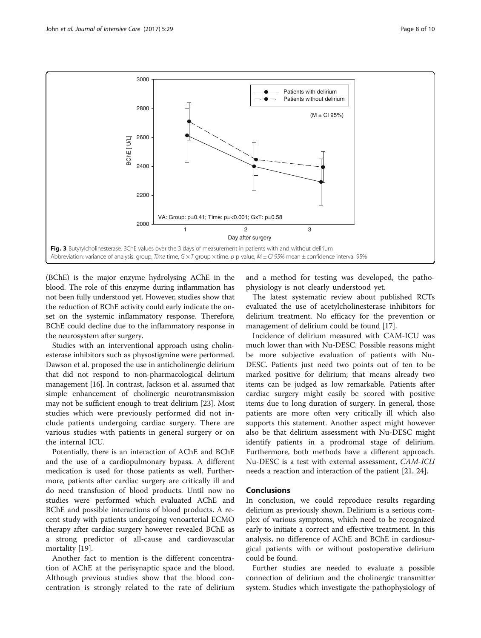<span id="page-7-0"></span>

(BChE) is the major enzyme hydrolysing AChE in the blood. The role of this enzyme during inflammation has not been fully understood yet. However, studies show that the reduction of BChE activity could early indicate the onset on the systemic inflammatory response. Therefore, BChE could decline due to the inflammatory response in the neurosystem after surgery.

Studies with an interventional approach using cholinesterase inhibitors such as physostigmine were performed. Dawson et al. proposed the use in anticholinergic delirium that did not respond to non-pharmacological delirium management [[16](#page-8-0)]. In contrast, Jackson et al. assumed that simple enhancement of cholinergic neurotransmission may not be sufficient enough to treat delirium [[23](#page-9-0)]. Most studies which were previously performed did not include patients undergoing cardiac surgery. There are various studies with patients in general surgery or on the internal ICU.

Potentially, there is an interaction of AChE and BChE and the use of a cardiopulmonary bypass. A different medication is used for those patients as well. Furthermore, patients after cardiac surgery are critically ill and do need transfusion of blood products. Until now no studies were performed which evaluated AChE and BChE and possible interactions of blood products. A recent study with patients undergoing venoarterial ECMO therapy after cardiac surgery however revealed BChE as a strong predictor of all-cause and cardiovascular mortality [[19\]](#page-9-0).

Another fact to mention is the different concentration of AChE at the perisynaptic space and the blood. Although previous studies show that the blood concentration is strongly related to the rate of delirium

and a method for testing was developed, the pathophysiology is not clearly understood yet.

The latest systematic review about published RCTs evaluated the use of acetylcholinesterase inhibitors for delirium treatment. No efficacy for the prevention or management of delirium could be found [[17](#page-8-0)].

Incidence of delirium measured with CAM-ICU was much lower than with Nu-DESC. Possible reasons might be more subjective evaluation of patients with Nu-DESC. Patients just need two points out of ten to be marked positive for delirium; that means already two items can be judged as low remarkable. Patients after cardiac surgery might easily be scored with positive items due to long duration of surgery. In general, those patients are more often very critically ill which also supports this statement. Another aspect might however also be that delirium assessment with Nu-DESC might identify patients in a prodromal stage of delirium. Furthermore, both methods have a different approach. Nu-DESC is a test with external assessment, CAM-ICU needs a reaction and interaction of the patient [[21](#page-9-0), [24](#page-9-0)].

## Conclusions

In conclusion, we could reproduce results regarding delirium as previously shown. Delirium is a serious complex of various symptoms, which need to be recognized early to initiate a correct and effective treatment. In this analysis, no difference of AChE and BChE in cardiosurgical patients with or without postoperative delirium could be found.

Further studies are needed to evaluate a possible connection of delirium and the cholinergic transmitter system. Studies which investigate the pathophysiology of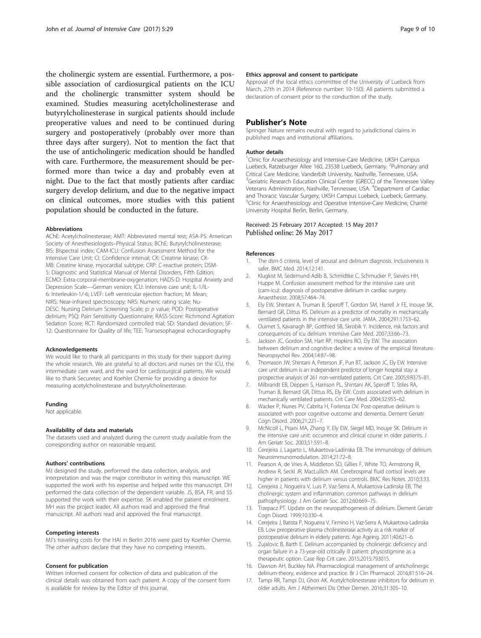<span id="page-8-0"></span>the cholinergic system are essential. Furthermore, a possible association of cardiosurgical patients on the ICU and the cholinergic transmitter system should be examined. Studies measuring acetylcholinesterase and butyrylcholinesterase in surgical patients should include preoperative values and need to be continued during surgery and postoperatively (probably over more than three days after surgery). Not to mention the fact that the use of anticholingeric medication should be handled with care. Furthermore, the measurement should be performed more than twice a day and probably even at night. Due to the fact that mostly patients after cardiac surgery develop delirium, and due to the negative impact on clinical outcomes, more studies with this patient population should be conducted in the future.

#### Abbreviations

AChE: Acetylcholinesterase; AMT: Abbreviated mental test; ASA-PS: American Society of Anesthesiologists–Physical Status; BChE: Butyrylcholinesterase; BIS: Bispectral index; CAM-ICU: Confusion Assessment Method for the Intensive Care Unit; CI: Confidence interval; CK: Creatine kinase; CK-MB: Creatine kinase, myocardial subtype; CRP: C-reactive protein; DSM-5: Diagnostic and Statistical Manual of Mental Disorders, Fifth Edition; ECMO: Extra-corporal-membrane-oxygenation; HADS-D: Hospital Anxiety and Depression Scale—German version; ICU: Intensive care unit; IL-1/IL-6: Interleukin-1/-6; LVEF: Left ventricular ejection fraction; M: Mean; NIRS: Near-infrared spectroscopy; NRS: Numeric rating scale; Nu-DESC: Nursing Delirium Screening Scale; p: p value; POD: Postoperative delirium; PSQ: Pain Sensitivity Questionnaire; RASS-Score: Richmond Agitation Sedation Score; RCT: Randomized controlled trial; SD: Standard deviation; SF-12: Questionnaire for Quality of life; TEE: Transesophageal echocardiography

#### Acknowledgements

We would like to thank all participants in this study for their support during the whole research. We are grateful to all doctors and nurses on the ICU, the intermediate care ward, and the ward for cardiosurgical patients. We would like to thank Securetec and Koehler Chemie for providing a device for measuring acetylcholinesterase and butyrylcholinesterase.

#### Funding

Not applicable.

#### Availability of data and materials

The datasets used and analyzed during the current study available from the corresponding author on reasonable request.

#### Authors' contributions

MJ designed the study, performed the data collection, analysis, and interpretation and was the major contributor in writing this manuscript. WE supported the work with his expertise and helped write this manuscript. DH performed the data collection of the dependent variable. JS, BSA, FR, and SS supported the work with their expertise. SK enabled the patient enrolment. MH was the project leader. All authors read and approved the final manuscript. All authors read and approved the final manuscript.

#### Competing interests

MJ's traveling costs for the HAI in Berlin 2016 were paid by Koehler Chemie. The other authors declare that they have no competing interests.

#### Consent for publication

Written informed consent for collection of data and publication of the clinical details was obtained from each patient. A copy of the consent form is available for review by the Editor of this journal.

#### Ethics approval and consent to participate

Approval of the local ethics committee of the University of Luebeck from March, 27th in 2014 (Reference number: 10-150). All patients submitted a declaration of consent prior to the conduction of the study.

#### Publisher's Note

Springer Nature remains neutral with regard to jurisdictional claims in published maps and institutional affiliations.

#### Author details

<sup>1</sup> Clinic for Anaesthesiology and Intensive-Care Medicine, UKSH Campus Luebeck, Ratzeburger Allee 160, 23538 Luebeck, Germany. <sup>2</sup>Pulmonary and Critical Care Medicine, Vanderbilt University, Nashville, Tennessee, USA. <sup>3</sup>Geriatric Research Education Clinical Center (GRECC) of the Tennessee Valley Veterans Administration, Nashville, Tennessee, USA. <sup>4</sup>Department of Cardiac and Thoracic Vascular Surgery, UKSH Campus Luebeck, Luebeck, Germany. <sup>5</sup>Clinic for Anaesthesiology and Operative Intensive-Care Medicine, Charité University Hospital Berlin, Berlin, Germany.

#### Received: 25 February 2017 Accepted: 15 May 2017 Published online: 26 May 2017

#### References

- 1. The dsm-5 criteria, level of arousal and delirium diagnosis. Inclusiveness is safer. BMC Med. 2014;12:141.
- 2. Klugkist M, Sedemund-Adib B, Schmidtke C, Schmucker P, Sievers HH, Huppe M. Confusion assessment method for the intensive care unit (cam-icu): diagnosis of postoperative delirium in cardiac surgery. Anaesthesist. 2008;57:464–74.
- 3. Ely EW, Shintani A, Truman B, Speroff T, Gordon SM, Harrell Jr FE, Inouye SK, Bernard GR, Dittus RS. Delirium as a predictor of mortality in mechanically ventilated patients in the intensive care unit. JAMA. 2004;291:1753–62.
- 4. Ouimet S, Kavanagh BP, Gottfried SB, Skrobik Y. Incidence, risk factors and consequences of icu delirium. Intensive Care Med. 2007;33:66–73.
- 5. Jackson JC, Gordon SM, Hart RP, Hopkins RO, Ely EW. The association between delirium and cognitive decline: a review of the empirical literature. Neuropsychol Rev. 2004;14:87–98.
- 6. Thomason JW, Shintani A, Peterson JF, Pun BT, Jackson JC, Ely EW. Intensive care unit delirium is an independent predictor of longer hospital stay: a prospective analysis of 261 non-ventilated patients. Crit Care. 2005;9:R375–81.
- 7. Milbrandt EB, Deppen S, Harrison PL, Shintani AK, Speroff T, Stiles RA, Truman B, Bernard GR, Dittus RS, Ely EW. Costs associated with delirium in mechanically ventilated patients. Crit Care Med. 2004;32:955–62.
- Wacker P, Nunes PV, Cabrita H, Forlenza OV. Post-operative delirium is associated with poor cognitive outcome and dementia. Dement Geriatr Cogn Disord. 2006;21:221–7.
- 9. McNicoll L, Pisani MA, Zhang Y, Ely EW, Siegel MD, Inouye SK. Delirium in the intensive care unit: occurrence and clinical course in older patients. J Am Geriatr Soc. 2003;51:591–8.
- 10. Cerejeira J, Lagarto L, Mukaetova-Ladinska EB. The immunology of delirium. Neuroimmunomodulation. 2014;21:72–8.
- 11. Pearson A, de Vries A, Middleton SD, Gillies F, White TO, Armstrong IR, Andrew R, Seckl JR, MacLullich AM. Cerebrospinal fluid cortisol levels are higher in patients with delirium versus controls. BMC Res Notes. 2010;3:33.
- 12. Cerejeira J, Nogueira V, Luis P, Vaz-Serra A, Mukaetova-Ladinska EB. The cholinergic system and inflammation: common pathways in delirium pathophysiology. J Am Geriatr Soc. 2012;60:669–75.
- 13. Trzepacz PT. Update on the neuropathogenesis of delirium. Dement Geriatr Cogn Disord. 1999;10:330–4.
- 14. Cerejeira J, Batista P, Nogueira V, Firmino H, Vaz-Serra A, Mukaetova-Ladinska EB. Low preoperative plasma cholinesterase activity as a risk marker of postoperative delirium in elderly patients. Age Ageing. 2011;40:621–6.
- 15. Zujalovic B, Barth E. Delirium accompanied by cholinergic deficiency and organ failure in a 73-year-old critically ill patient: physostigmine as a therapeutic option. Case Rep Crit care. 2015;2015:793015.
- 16. Dawson AH, Buckley NA. Pharmacological management of anticholinergic delirium-theory, evidence and practice. Br J Clin Pharmacol. 2016;81:516–24.
- 17. Tampi RR, Tampi DJ, Ghori AK. Acetylcholinesterase inhibitors for delirium in older adults. Am J Alzheimers Dis Other Demen. 2016;31:305–10.